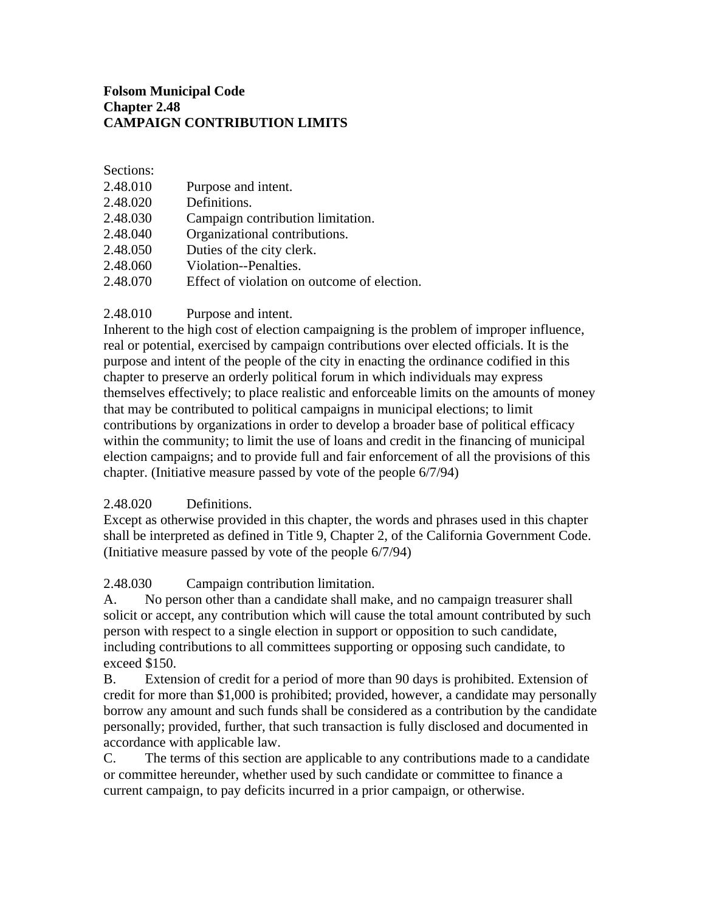## **Folsom Municipal Code Chapter 2.48 CAMPAIGN CONTRIBUTION LIMITS**

Sections:

| 2.48.010 | Purpose and intent.                         |
|----------|---------------------------------------------|
| 2.48.020 | Definitions.                                |
| 2.48.030 | Campaign contribution limitation.           |
| 2.48.040 | Organizational contributions.               |
| 2.48.050 | Duties of the city clerk.                   |
| 2.48.060 | Violation--Penalties.                       |
| 2.48.070 | Effect of violation on outcome of election. |

## 2.48.010 Purpose and intent.

Inherent to the high cost of election campaigning is the problem of improper influence, real or potential, exercised by campaign contributions over elected officials. It is the purpose and intent of the people of the city in enacting the ordinance codified in this chapter to preserve an orderly political forum in which individuals may express themselves effectively; to place realistic and enforceable limits on the amounts of money that may be contributed to political campaigns in municipal elections; to limit contributions by organizations in order to develop a broader base of political efficacy within the community; to limit the use of loans and credit in the financing of municipal election campaigns; and to provide full and fair enforcement of all the provisions of this chapter. (Initiative measure passed by vote of the people 6/7/94)

## 2.48.020 Definitions.

Except as otherwise provided in this chapter, the words and phrases used in this chapter shall be interpreted as defined in Title 9, Chapter 2, of the California Government Code. (Initiative measure passed by vote of the people 6/7/94)

## 2.48.030 Campaign contribution limitation.

A. No person other than a candidate shall make, and no campaign treasurer shall solicit or accept, any contribution which will cause the total amount contributed by such person with respect to a single election in support or opposition to such candidate, including contributions to all committees supporting or opposing such candidate, to exceed \$150.

B. Extension of credit for a period of more than 90 days is prohibited. Extension of credit for more than \$1,000 is prohibited; provided, however, a candidate may personally borrow any amount and such funds shall be considered as a contribution by the candidate personally; provided, further, that such transaction is fully disclosed and documented in accordance with applicable law.

C. The terms of this section are applicable to any contributions made to a candidate or committee hereunder, whether used by such candidate or committee to finance a current campaign, to pay deficits incurred in a prior campaign, or otherwise.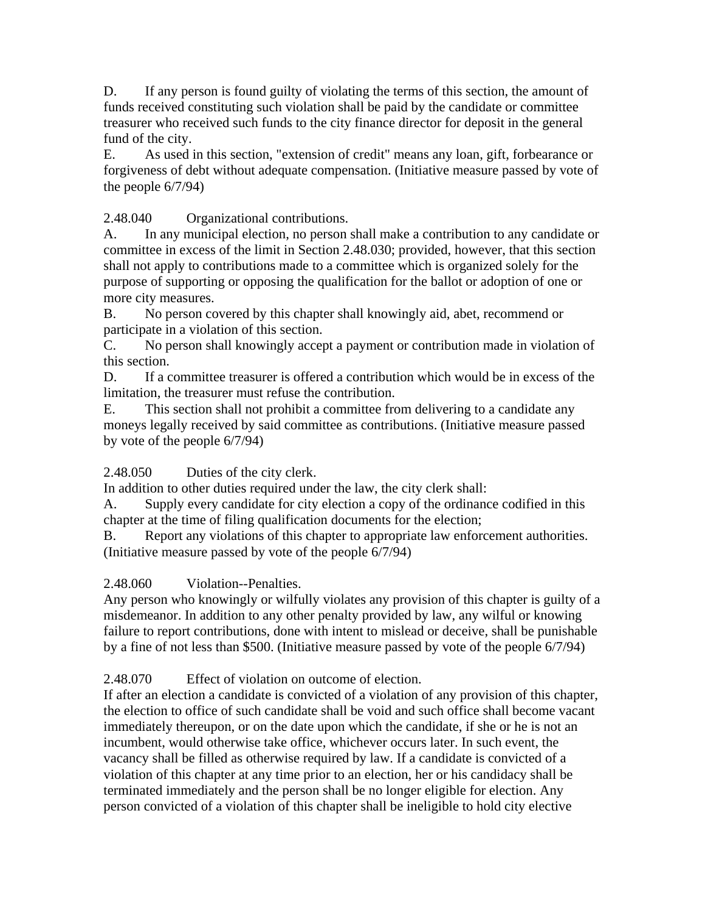D. If any person is found guilty of violating the terms of this section, the amount of funds received constituting such violation shall be paid by the candidate or committee treasurer who received such funds to the city finance director for deposit in the general fund of the city.

E. As used in this section, "extension of credit" means any loan, gift, forbearance or forgiveness of debt without adequate compensation. (Initiative measure passed by vote of the people 6/7/94)

2.48.040 Organizational contributions.

A. In any municipal election, no person shall make a contribution to any candidate or committee in excess of the limit in Section 2.48.030; provided, however, that this section shall not apply to contributions made to a committee which is organized solely for the purpose of supporting or opposing the qualification for the ballot or adoption of one or more city measures.

B. No person covered by this chapter shall knowingly aid, abet, recommend or participate in a violation of this section.

C. No person shall knowingly accept a payment or contribution made in violation of this section.

D. If a committee treasurer is offered a contribution which would be in excess of the limitation, the treasurer must refuse the contribution.

E. This section shall not prohibit a committee from delivering to a candidate any moneys legally received by said committee as contributions. (Initiative measure passed by vote of the people 6/7/94)

2.48.050 Duties of the city clerk.

In addition to other duties required under the law, the city clerk shall:

A. Supply every candidate for city election a copy of the ordinance codified in this chapter at the time of filing qualification documents for the election;

B. Report any violations of this chapter to appropriate law enforcement authorities. (Initiative measure passed by vote of the people 6/7/94)

2.48.060 Violation--Penalties.

Any person who knowingly or wilfully violates any provision of this chapter is guilty of a misdemeanor. In addition to any other penalty provided by law, any wilful or knowing failure to report contributions, done with intent to mislead or deceive, shall be punishable by a fine of not less than \$500. (Initiative measure passed by vote of the people 6/7/94)

2.48.070 Effect of violation on outcome of election.

If after an election a candidate is convicted of a violation of any provision of this chapter, the election to office of such candidate shall be void and such office shall become vacant immediately thereupon, or on the date upon which the candidate, if she or he is not an incumbent, would otherwise take office, whichever occurs later. In such event, the vacancy shall be filled as otherwise required by law. If a candidate is convicted of a violation of this chapter at any time prior to an election, her or his candidacy shall be terminated immediately and the person shall be no longer eligible for election. Any person convicted of a violation of this chapter shall be ineligible to hold city elective